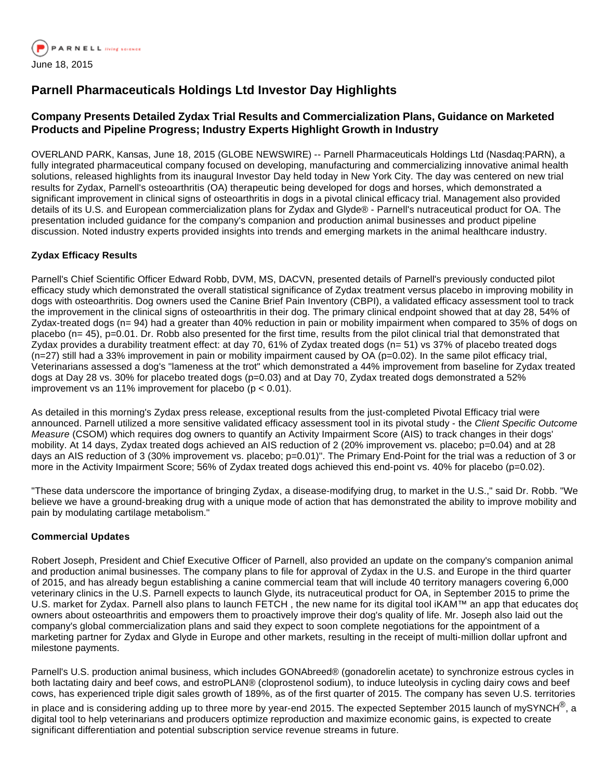

# **Parnell Pharmaceuticals Holdings Ltd Investor Day Highlights**

# **Company Presents Detailed Zydax Trial Results and Commercialization Plans, Guidance on Marketed Products and Pipeline Progress; Industry Experts Highlight Growth in Industry**

OVERLAND PARK, Kansas, June 18, 2015 (GLOBE NEWSWIRE) -- Parnell Pharmaceuticals Holdings Ltd (Nasdaq:PARN), a fully integrated pharmaceutical company focused on developing, manufacturing and commercializing innovative animal health solutions, released highlights from its inaugural Investor Day held today in New York City. The day was centered on new trial results for Zydax, Parnell's osteoarthritis (OA) therapeutic being developed for dogs and horses, which demonstrated a significant improvement in clinical signs of osteoarthritis in dogs in a pivotal clinical efficacy trial. Management also provided details of its U.S. and European commercialization plans for Zydax and Glyde® - Parnell's nutraceutical product for OA. The presentation included guidance for the company's companion and production animal businesses and product pipeline discussion. Noted industry experts provided insights into trends and emerging markets in the animal healthcare industry.

### **Zydax Efficacy Results**

Parnell's Chief Scientific Officer Edward Robb, DVM, MS, DACVN, presented details of Parnell's previously conducted pilot efficacy study which demonstrated the overall statistical significance of Zydax treatment versus placebo in improving mobility in dogs with osteoarthritis. Dog owners used the Canine Brief Pain Inventory (CBPI), a validated efficacy assessment tool to track the improvement in the clinical signs of osteoarthritis in their dog. The primary clinical endpoint showed that at day 28, 54% of Zydax-treated dogs (n= 94) had a greater than 40% reduction in pain or mobility impairment when compared to 35% of dogs on placebo (n= 45), p=0.01. Dr. Robb also presented for the first time, results from the pilot clinical trial that demonstrated that Zydax provides a durability treatment effect: at day 70, 61% of Zydax treated dogs (n= 51) vs 37% of placebo treated dogs  $(n=27)$  still had a 33% improvement in pain or mobility impairment caused by OA ( $p=0.02$ ). In the same pilot efficacy trial, Veterinarians assessed a dog's "lameness at the trot" which demonstrated a 44% improvement from baseline for Zydax treated dogs at Day 28 vs. 30% for placebo treated dogs (p=0.03) and at Day 70, Zydax treated dogs demonstrated a 52% improvement vs an 11% improvement for placebo ( $p < 0.01$ ).

As detailed in this morning's Zydax press release, exceptional results from the just-completed Pivotal Efficacy trial were announced. Parnell utilized a more sensitive validated efficacy assessment tool in its pivotal study - the Client Specific Outcome Measure (CSOM) which requires dog owners to quantify an Activity Impairment Score (AIS) to track changes in their dogs' mobility. At 14 days, Zydax treated dogs achieved an AIS reduction of 2 (20% improvement vs. placebo; p=0.04) and at 28 days an AIS reduction of 3 (30% improvement vs. placebo; p=0.01)". The Primary End-Point for the trial was a reduction of 3 or more in the Activity Impairment Score; 56% of Zydax treated dogs achieved this end-point vs. 40% for placebo (p=0.02).

"These data underscore the importance of bringing Zydax, a disease-modifying drug, to market in the U.S.," said Dr. Robb. "We believe we have a ground-breaking drug with a unique mode of action that has demonstrated the ability to improve mobility and pain by modulating cartilage metabolism."

# **Commercial Updates**

Robert Joseph, President and Chief Executive Officer of Parnell, also provided an update on the company's companion animal and production animal businesses. The company plans to file for approval of Zydax in the U.S. and Europe in the third quarter of 2015, and has already begun establishing a canine commercial team that will include 40 territory managers covering 6,000 veterinary clinics in the U.S. Parnell expects to launch Glyde, its nutraceutical product for OA, in September 2015 to prime the U.S. market for Zydax. Parnell also plans to launch FETCH, the new name for its digital tool iKAM™ an app that educates dog owners about osteoarthritis and empowers them to proactively improve their dog's quality of life. Mr. Joseph also laid out the company's global commercialization plans and said they expect to soon complete negotiations for the appointment of a marketing partner for Zydax and Glyde in Europe and other markets, resulting in the receipt of multi-million dollar upfront and milestone payments.

Parnell's U.S. production animal business, which includes GONAbreed® (gonadorelin acetate) to synchronize estrous cycles in both lactating dairy and beef cows, and estroPLAN® (cloprostenol sodium), to induce luteolysis in cycling dairy cows and beef cows, has experienced triple digit sales growth of 189%, as of the first quarter of 2015. The company has seven U.S. territories

in place and is considering adding up to three more by year-end 2015. The expected September 2015 launch of mySYNCH<sup>®</sup>, a digital tool to help veterinarians and producers optimize reproduction and maximize economic gains, is expected to create significant differentiation and potential subscription service revenue streams in future.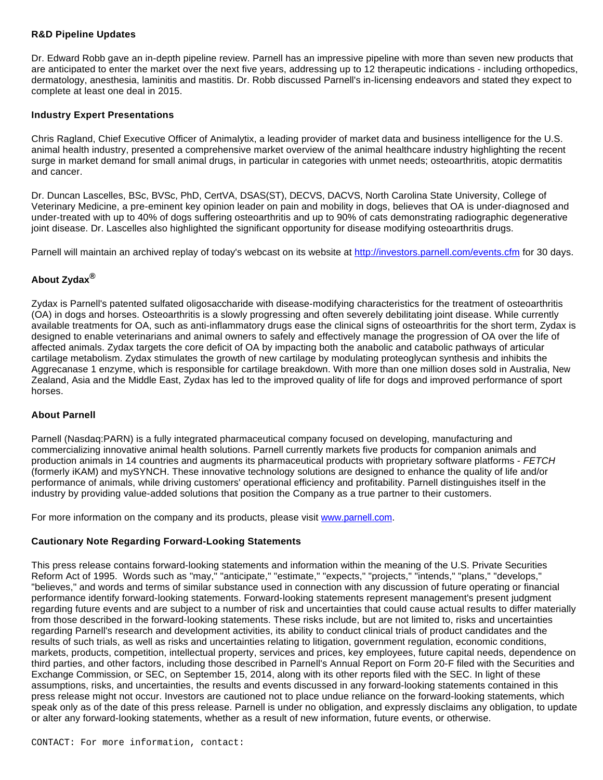#### **R&D Pipeline Updates**

Dr. Edward Robb gave an in-depth pipeline review. Parnell has an impressive pipeline with more than seven new products that are anticipated to enter the market over the next five years, addressing up to 12 therapeutic indications - including orthopedics, dermatology, anesthesia, laminitis and mastitis. Dr. Robb discussed Parnell's in-licensing endeavors and stated they expect to complete at least one deal in 2015.

#### **Industry Expert Presentations**

Chris Ragland, Chief Executive Officer of Animalytix, a leading provider of market data and business intelligence for the U.S. animal health industry, presented a comprehensive market overview of the animal healthcare industry highlighting the recent surge in market demand for small animal drugs, in particular in categories with unmet needs; osteoarthritis, atopic dermatitis and cancer.

Dr. Duncan Lascelles, BSc, BVSc, PhD, CertVA, DSAS(ST), DECVS, DACVS, North Carolina State University, College of Veterinary Medicine, a pre-eminent key opinion leader on pain and mobility in dogs, believes that OA is under-diagnosed and under-treated with up to 40% of dogs suffering osteoarthritis and up to 90% of cats demonstrating radiographic degenerative joint disease. Dr. Lascelles also highlighted the significant opportunity for disease modifying osteoarthritis drugs.

Parnell will maintain an archived replay of today's webcast on its website at [http://investors.parnell.com/events.cfm](http://www.globenewswire.com/newsroom/ctr?d=10138964&l=14&u=http%3A%2F%2Finvestors.parnell.com%2Fevents.cfm) for 30 days.

# **About Zydax®**

Zydax is Parnell's patented sulfated oligosaccharide with disease-modifying characteristics for the treatment of osteoarthritis (OA) in dogs and horses. Osteoarthritis is a slowly progressing and often severely debilitating joint disease. While currently available treatments for OA, such as anti-inflammatory drugs ease the clinical signs of osteoarthritis for the short term, Zydax is designed to enable veterinarians and animal owners to safely and effectively manage the progression of OA over the life of affected animals. Zydax targets the core deficit of OA by impacting both the anabolic and catabolic pathways of articular cartilage metabolism. Zydax stimulates the growth of new cartilage by modulating proteoglycan synthesis and inhibits the Aggrecanase 1 enzyme, which is responsible for cartilage breakdown. With more than one million doses sold in Australia, New Zealand, Asia and the Middle East, Zydax has led to the improved quality of life for dogs and improved performance of sport horses.

#### **About Parnell**

Parnell (Nasdaq:PARN) is a fully integrated pharmaceutical company focused on developing, manufacturing and commercializing innovative animal health solutions. Parnell currently markets five products for companion animals and production animals in 14 countries and augments its pharmaceutical products with proprietary software platforms - FETCH (formerly iKAM) and mySYNCH. These innovative technology solutions are designed to enhance the quality of life and/or performance of animals, while driving customers' operational efficiency and profitability. Parnell distinguishes itself in the industry by providing value-added solutions that position the Company as a true partner to their customers.

For more information on the company and its products, please visit [www.parnell.com](http://www.globenewswire.com/newsroom/ctr?d=10138964&l=19&a=www.parnell.com&u=http%3A%2F%2Fwww.parnell.com%2F).

#### **Cautionary Note Regarding Forward-Looking Statements**

This press release contains forward-looking statements and information within the meaning of the U.S. Private Securities Reform Act of 1995. Words such as "may," "anticipate," "estimate," "expects," "projects," "intends," "plans," "develops," "believes," and words and terms of similar substance used in connection with any discussion of future operating or financial performance identify forward-looking statements. Forward-looking statements represent management's present judgment regarding future events and are subject to a number of risk and uncertainties that could cause actual results to differ materially from those described in the forward-looking statements. These risks include, but are not limited to, risks and uncertainties regarding Parnell's research and development activities, its ability to conduct clinical trials of product candidates and the results of such trials, as well as risks and uncertainties relating to litigation, government regulation, economic conditions, markets, products, competition, intellectual property, services and prices, key employees, future capital needs, dependence on third parties, and other factors, including those described in Parnell's Annual Report on Form 20-F filed with the Securities and Exchange Commission, or SEC, on September 15, 2014, along with its other reports filed with the SEC. In light of these assumptions, risks, and uncertainties, the results and events discussed in any forward-looking statements contained in this press release might not occur. Investors are cautioned not to place undue reliance on the forward-looking statements, which speak only as of the date of this press release. Parnell is under no obligation, and expressly disclaims any obligation, to update or alter any forward-looking statements, whether as a result of new information, future events, or otherwise.